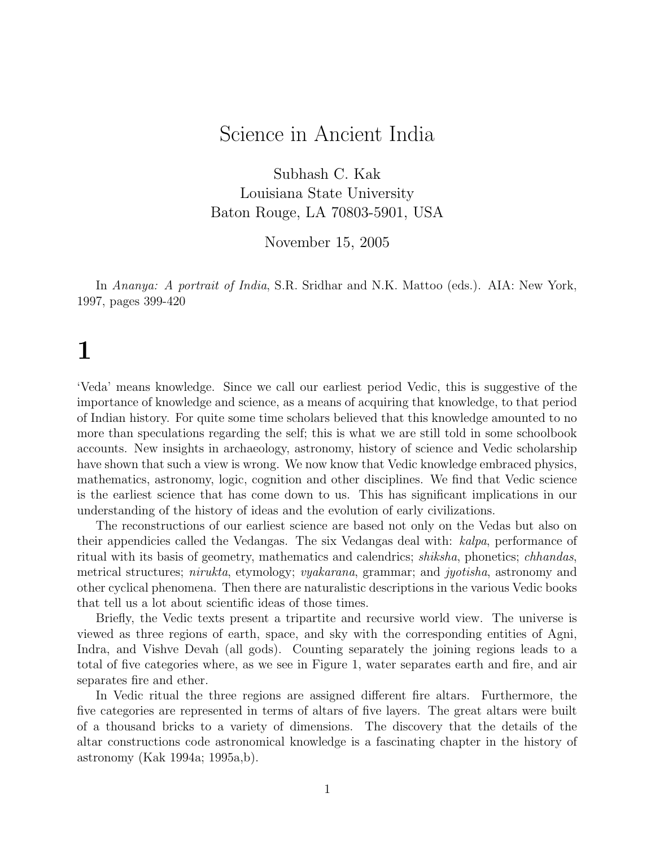# Science in Ancient India

Subhash C. Kak Louisiana State University Baton Rouge, LA 70803-5901, USA

November 15, 2005

In Ananya: A portrait of India, S.R. Sridhar and N.K. Mattoo (eds.). AIA: New York, 1997, pages 399-420

# 1

'Veda' means knowledge. Since we call our earliest period Vedic, this is suggestive of the importance of knowledge and science, as a means of acquiring that knowledge, to that period of Indian history. For quite some time scholars believed that this knowledge amounted to no more than speculations regarding the self; this is what we are still told in some schoolbook accounts. New insights in archaeology, astronomy, history of science and Vedic scholarship have shown that such a view is wrong. We now know that Vedic knowledge embraced physics, mathematics, astronomy, logic, cognition and other disciplines. We find that Vedic science is the earliest science that has come down to us. This has significant implications in our understanding of the history of ideas and the evolution of early civilizations.

The reconstructions of our earliest science are based not only on the Vedas but also on their appendicies called the Vedangas. The six Vedangas deal with: kalpa, performance of ritual with its basis of geometry, mathematics and calendrics; shiksha, phonetics; chhandas, metrical structures; nirukta, etymology; vyakarana, grammar; and jyotisha, astronomy and other cyclical phenomena. Then there are naturalistic descriptions in the various Vedic books that tell us a lot about scientific ideas of those times.

Briefly, the Vedic texts present a tripartite and recursive world view. The universe is viewed as three regions of earth, space, and sky with the corresponding entities of Agni, Indra, and Vishve Devah (all gods). Counting separately the joining regions leads to a total of five categories where, as we see in Figure 1, water separates earth and fire, and air separates fire and ether.

In Vedic ritual the three regions are assigned different fire altars. Furthermore, the five categories are represented in terms of altars of five layers. The great altars were built of a thousand bricks to a variety of dimensions. The discovery that the details of the altar constructions code astronomical knowledge is a fascinating chapter in the history of astronomy (Kak 1994a; 1995a,b).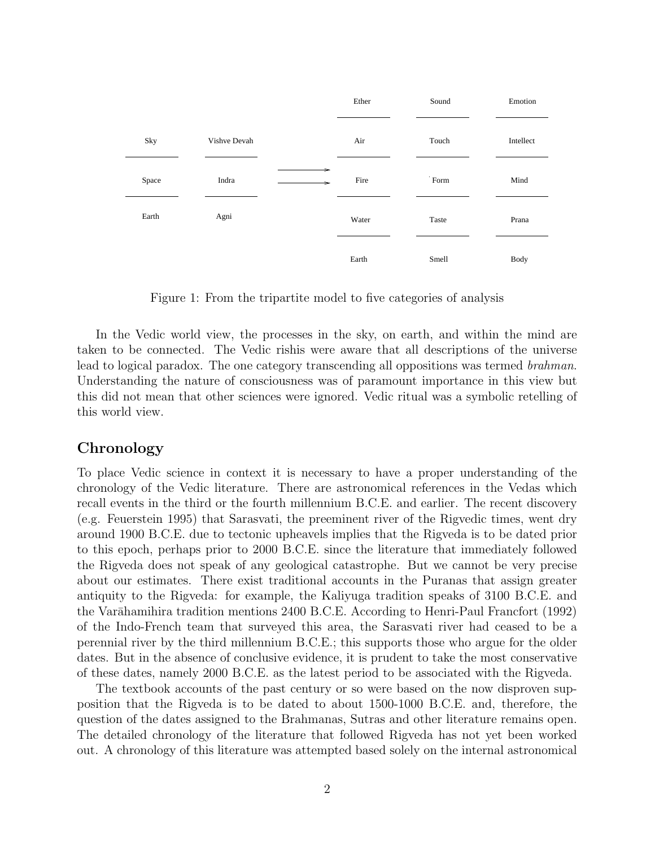

Figure 1: From the tripartite model to five categories of analysis

In the Vedic world view, the processes in the sky, on earth, and within the mind are taken to be connected. The Vedic rishis were aware that all descriptions of the universe lead to logical paradox. The one category transcending all oppositions was termed brahman. Understanding the nature of consciousness was of paramount importance in this view but this did not mean that other sciences were ignored. Vedic ritual was a symbolic retelling of this world view.

#### **Chronology**

To place Vedic science in context it is necessary to have a proper understanding of the chronology of the Vedic literature. There are astronomical references in the Vedas which recall events in the third or the fourth millennium B.C.E. and earlier. The recent discovery (e.g. Feuerstein 1995) that Sarasvati, the preeminent river of the Rigvedic times, went dry around 1900 B.C.E. due to tectonic upheavels implies that the Rigveda is to be dated prior to this epoch, perhaps prior to 2000 B.C.E. since the literature that immediately followed the Rigveda does not speak of any geological catastrophe. But we cannot be very precise about our estimates. There exist traditional accounts in the Puranas that assign greater antiquity to the Rigveda: for example, the Kaliyuga tradition speaks of 3100 B.C.E. and the Varāhamihira tradition mentions 2400 B.C.E. According to Henri-Paul Francfort (1992) of the Indo-French team that surveyed this area, the Sarasvati river had ceased to be a perennial river by the third millennium B.C.E.; this supports those who argue for the older dates. But in the absence of conclusive evidence, it is prudent to take the most conservative of these dates, namely 2000 B.C.E. as the latest period to be associated with the Rigveda.

The textbook accounts of the past century or so were based on the now disproven supposition that the Rigveda is to be dated to about 1500-1000 B.C.E. and, therefore, the question of the dates assigned to the Brahmanas, Sutras and other literature remains open. The detailed chronology of the literature that followed Rigveda has not yet been worked out. A chronology of this literature was attempted based solely on the internal astronomical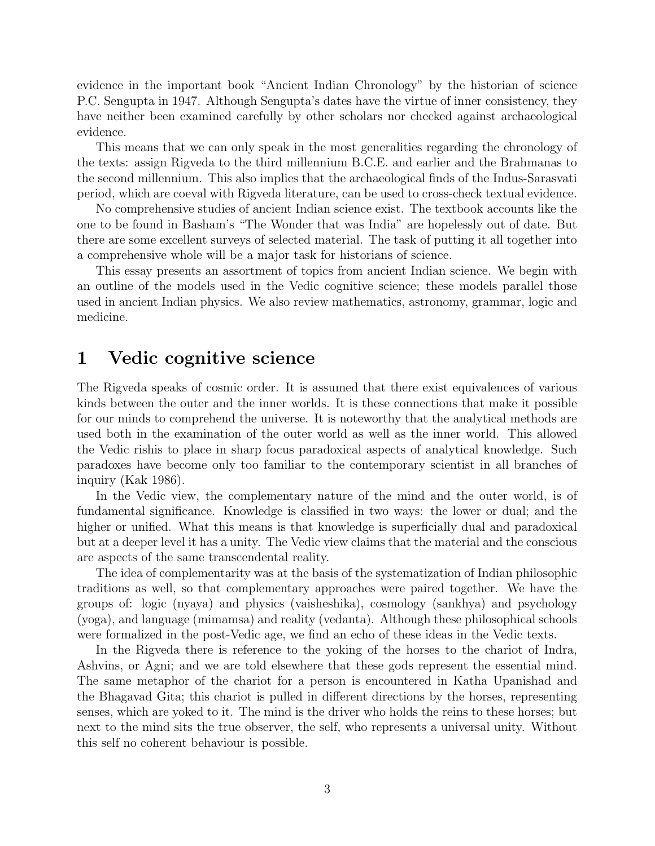evidence in the important book "Ancient Indian Chronology" by the historian of science P.C. Sengupta in 1947. Although Sengupta's dates have the virtue of inner consistency, they have neither been examined carefully by other scholars nor checked against archaeological evidence.

This means that we can only speak in the most generalities regarding the chronology of the texts: assign Rigveda to the third millennium B.C.E. and earlier and the Brahmanas to the second millennium. This also implies that the archaeological finds of the Indus-Sarasvati period, which are coeval with Rigveda literature, can be used to cross-check textual evidence.

No comprehensive studies of ancient Indian science exist. The textbook accounts like the one to be found in Basham's "The Wonder that was India" are hopelessly out of date. But there are some excellent surveys of selected material. The task of putting it all together into a comprehensive whole will be a major task for historians of science.

This essay presents an assortment of topics from ancient Indian science. We begin with an outline of the models used in the Vedic cognitive science; these models parallel those used in ancient Indian physics. We also review mathematics, astronomy, grammar, logic and medicine.

## 1 Vedic cognitive science

The Rigveda speaks of cosmic order. It is assumed that there exist equivalences of various kinds between the outer and the inner worlds. It is these connections that make it possible for our minds to comprehend the universe. It is noteworthy that the analytical methods are used both in the examination of the outer world as well as the inner world. This allowed the Vedic rishis to place in sharp focus paradoxical aspects of analytical knowledge. Such paradoxes have become only too familiar to the contemporary scientist in all branches of inquiry (Kak 1986).

In the Vedic view, the complementary nature of the mind and the outer world, is of fundamental significance. Knowledge is classified in two ways: the lower or dual; and the higher or unified. What this means is that knowledge is superficially dual and paradoxical but at a deeper level it has a unity. The Vedic view claims that the material and the conscious are aspects of the same transcendental reality.

The idea of complementarity was at the basis of the systematization of Indian philosophic traditions as well, so that complementary approaches were paired together. We have the groups of: logic (nyaya) and physics (vaisheshika), cosmology (sankhya) and psychology (yoga), and language (mimamsa) and reality (vedanta). Although these philosophical schools were formalized in the post-Vedic age, we find an echo of these ideas in the Vedic texts.

In the Rigveda there is reference to the yoking of the horses to the chariot of Indra, Ashvins, or Agni; and we are told elsewhere that these gods represent the essential mind. The same metaphor of the chariot for a person is encountered in Katha Upanishad and the Bhagavad Gita; this chariot is pulled in different directions by the horses, representing senses, which are yoked to it. The mind is the driver who holds the reins to these horses; but next to the mind sits the true observer, the self, who represents a universal unity. Without this self no coherent behaviour is possible.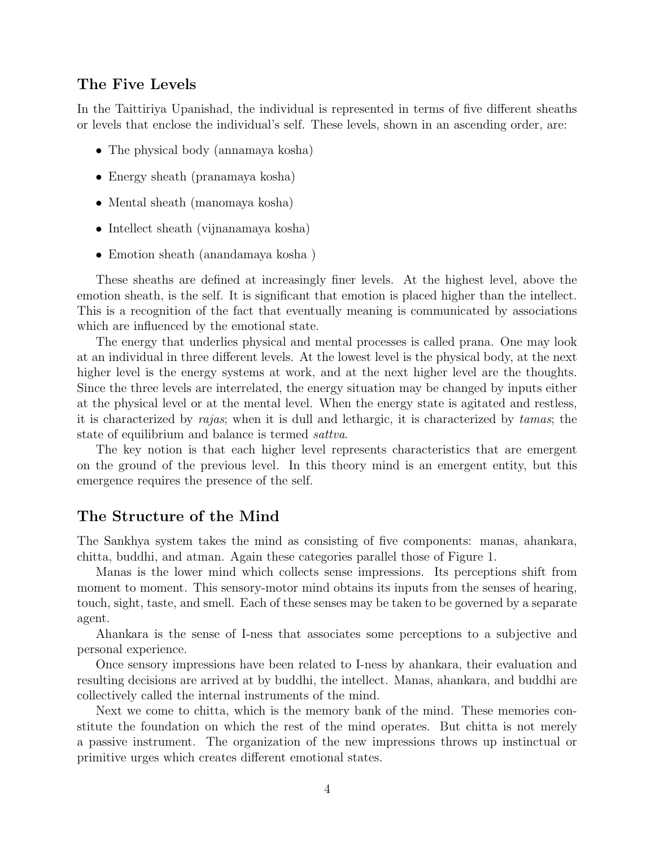#### The Five Levels

In the Taittiriya Upanishad, the individual is represented in terms of five different sheaths or levels that enclose the individual's self. These levels, shown in an ascending order, are:

- The physical body (annamaya kosha)
- Energy sheath (pranamaya kosha)
- Mental sheath (manomaya kosha)
- Intellect sheath (vijnanamaya kosha)
- Emotion sheath (anandamaya kosha )

These sheaths are defined at increasingly finer levels. At the highest level, above the emotion sheath, is the self. It is significant that emotion is placed higher than the intellect. This is a recognition of the fact that eventually meaning is communicated by associations which are influenced by the emotional state.

The energy that underlies physical and mental processes is called prana. One may look at an individual in three different levels. At the lowest level is the physical body, at the next higher level is the energy systems at work, and at the next higher level are the thoughts. Since the three levels are interrelated, the energy situation may be changed by inputs either at the physical level or at the mental level. When the energy state is agitated and restless, it is characterized by rajas; when it is dull and lethargic, it is characterized by tamas; the state of equilibrium and balance is termed sattva.

The key notion is that each higher level represents characteristics that are emergent on the ground of the previous level. In this theory mind is an emergent entity, but this emergence requires the presence of the self.

#### The Structure of the Mind

The Sankhya system takes the mind as consisting of five components: manas, ahankara, chitta, buddhi, and atman. Again these categories parallel those of Figure 1.

Manas is the lower mind which collects sense impressions. Its perceptions shift from moment to moment. This sensory-motor mind obtains its inputs from the senses of hearing, touch, sight, taste, and smell. Each of these senses may be taken to be governed by a separate agent.

Ahankara is the sense of I-ness that associates some perceptions to a subjective and personal experience.

Once sensory impressions have been related to I-ness by ahankara, their evaluation and resulting decisions are arrived at by buddhi, the intellect. Manas, ahankara, and buddhi are collectively called the internal instruments of the mind.

Next we come to chitta, which is the memory bank of the mind. These memories constitute the foundation on which the rest of the mind operates. But chitta is not merely a passive instrument. The organization of the new impressions throws up instinctual or primitive urges which creates different emotional states.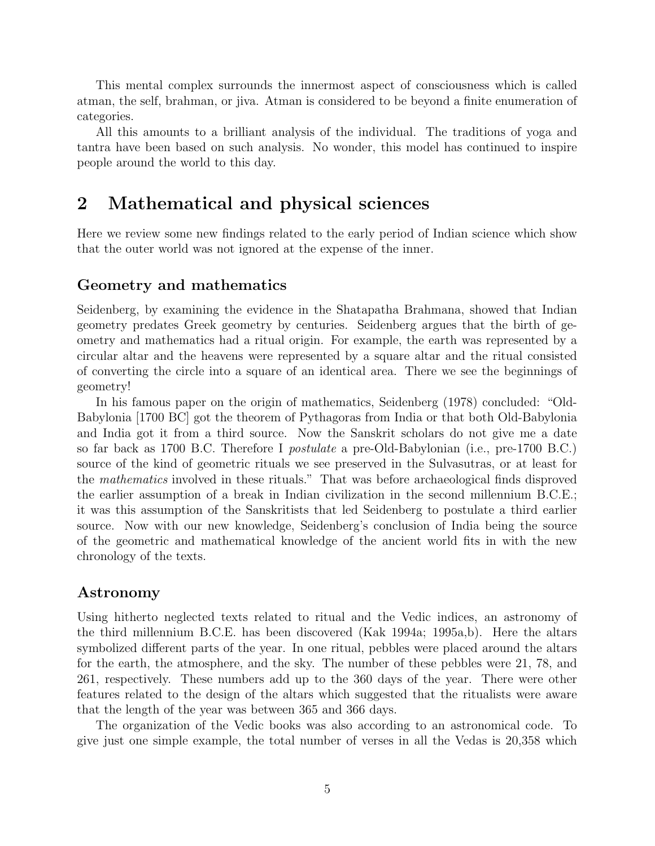This mental complex surrounds the innermost aspect of consciousness which is called atman, the self, brahman, or jiva. Atman is considered to be beyond a finite enumeration of categories.

All this amounts to a brilliant analysis of the individual. The traditions of yoga and tantra have been based on such analysis. No wonder, this model has continued to inspire people around the world to this day.

## 2 Mathematical and physical sciences

Here we review some new findings related to the early period of Indian science which show that the outer world was not ignored at the expense of the inner.

#### Geometry and mathematics

Seidenberg, by examining the evidence in the Shatapatha Brahmana, showed that Indian geometry predates Greek geometry by centuries. Seidenberg argues that the birth of geometry and mathematics had a ritual origin. For example, the earth was represented by a circular altar and the heavens were represented by a square altar and the ritual consisted of converting the circle into a square of an identical area. There we see the beginnings of geometry!

In his famous paper on the origin of mathematics, Seidenberg (1978) concluded: "Old-Babylonia [1700 BC] got the theorem of Pythagoras from India or that both Old-Babylonia and India got it from a third source. Now the Sanskrit scholars do not give me a date so far back as 1700 B.C. Therefore I postulate a pre-Old-Babylonian (i.e., pre-1700 B.C.) source of the kind of geometric rituals we see preserved in the Sulvasutras, or at least for the mathematics involved in these rituals." That was before archaeological finds disproved the earlier assumption of a break in Indian civilization in the second millennium B.C.E.; it was this assumption of the Sanskritists that led Seidenberg to postulate a third earlier source. Now with our new knowledge, Seidenberg's conclusion of India being the source of the geometric and mathematical knowledge of the ancient world fits in with the new chronology of the texts.

#### Astronomy

Using hitherto neglected texts related to ritual and the Vedic indices, an astronomy of the third millennium B.C.E. has been discovered (Kak 1994a; 1995a,b). Here the altars symbolized different parts of the year. In one ritual, pebbles were placed around the altars for the earth, the atmosphere, and the sky. The number of these pebbles were 21, 78, and 261, respectively. These numbers add up to the 360 days of the year. There were other features related to the design of the altars which suggested that the ritualists were aware that the length of the year was between 365 and 366 days.

The organization of the Vedic books was also according to an astronomical code. To give just one simple example, the total number of verses in all the Vedas is 20,358 which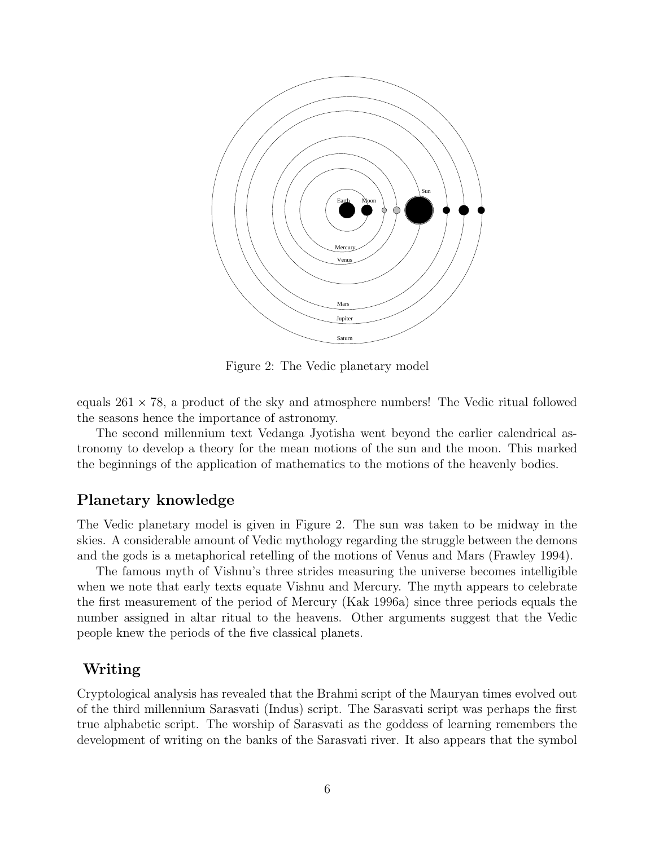

Figure 2: The Vedic planetary model

equals  $261 \times 78$ , a product of the sky and atmosphere numbers! The Vedic ritual followed the seasons hence the importance of astronomy.

The second millennium text Vedanga Jyotisha went beyond the earlier calendrical astronomy to develop a theory for the mean motions of the sun and the moon. This marked the beginnings of the application of mathematics to the motions of the heavenly bodies.

#### Planetary knowledge

The Vedic planetary model is given in Figure 2. The sun was taken to be midway in the skies. A considerable amount of Vedic mythology regarding the struggle between the demons and the gods is a metaphorical retelling of the motions of Venus and Mars (Frawley 1994).

The famous myth of Vishnu's three strides measuring the universe becomes intelligible when we note that early texts equate Vishnu and Mercury. The myth appears to celebrate the first measurement of the period of Mercury (Kak 1996a) since three periods equals the number assigned in altar ritual to the heavens. Other arguments suggest that the Vedic people knew the periods of the five classical planets.

#### Writing

Cryptological analysis has revealed that the Brahmi script of the Mauryan times evolved out of the third millennium Sarasvati (Indus) script. The Sarasvati script was perhaps the first true alphabetic script. The worship of Sarasvati as the goddess of learning remembers the development of writing on the banks of the Sarasvati river. It also appears that the symbol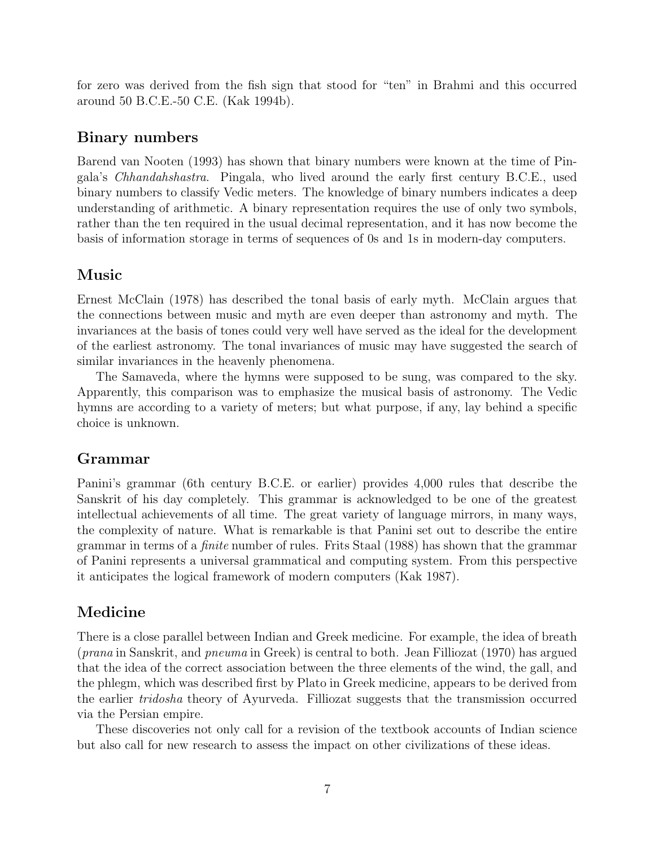for zero was derived from the fish sign that stood for "ten" in Brahmi and this occurred around 50 B.C.E.-50 C.E. (Kak 1994b).

### Binary numbers

Barend van Nooten (1993) has shown that binary numbers were known at the time of Pingala's Chhandahshastra. Pingala, who lived around the early first century B.C.E., used binary numbers to classify Vedic meters. The knowledge of binary numbers indicates a deep understanding of arithmetic. A binary representation requires the use of only two symbols, rather than the ten required in the usual decimal representation, and it has now become the basis of information storage in terms of sequences of 0s and 1s in modern-day computers.

### Music

Ernest McClain (1978) has described the tonal basis of early myth. McClain argues that the connections between music and myth are even deeper than astronomy and myth. The invariances at the basis of tones could very well have served as the ideal for the development of the earliest astronomy. The tonal invariances of music may have suggested the search of similar invariances in the heavenly phenomena.

The Samaveda, where the hymns were supposed to be sung, was compared to the sky. Apparently, this comparison was to emphasize the musical basis of astronomy. The Vedic hymns are according to a variety of meters; but what purpose, if any, lay behind a specific choice is unknown.

## Grammar

Panini's grammar (6th century B.C.E. or earlier) provides 4,000 rules that describe the Sanskrit of his day completely. This grammar is acknowledged to be one of the greatest intellectual achievements of all time. The great variety of language mirrors, in many ways, the complexity of nature. What is remarkable is that Panini set out to describe the entire grammar in terms of a finite number of rules. Frits Staal (1988) has shown that the grammar of Panini represents a universal grammatical and computing system. From this perspective it anticipates the logical framework of modern computers (Kak 1987).

## Medicine

There is a close parallel between Indian and Greek medicine. For example, the idea of breath (prana in Sanskrit, and pneuma in Greek) is central to both. Jean Filliozat (1970) has argued that the idea of the correct association between the three elements of the wind, the gall, and the phlegm, which was described first by Plato in Greek medicine, appears to be derived from the earlier tridosha theory of Ayurveda. Filliozat suggests that the transmission occurred via the Persian empire.

These discoveries not only call for a revision of the textbook accounts of Indian science but also call for new research to assess the impact on other civilizations of these ideas.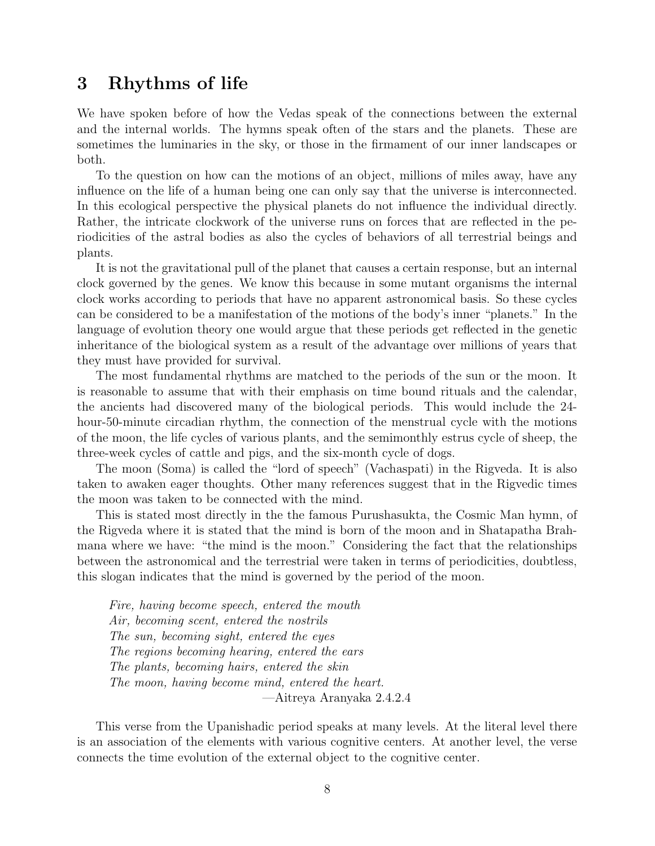## 3 Rhythms of life

We have spoken before of how the Vedas speak of the connections between the external and the internal worlds. The hymns speak often of the stars and the planets. These are sometimes the luminaries in the sky, or those in the firmament of our inner landscapes or both.

To the question on how can the motions of an object, millions of miles away, have any influence on the life of a human being one can only say that the universe is interconnected. In this ecological perspective the physical planets do not influence the individual directly. Rather, the intricate clockwork of the universe runs on forces that are reflected in the periodicities of the astral bodies as also the cycles of behaviors of all terrestrial beings and plants.

It is not the gravitational pull of the planet that causes a certain response, but an internal clock governed by the genes. We know this because in some mutant organisms the internal clock works according to periods that have no apparent astronomical basis. So these cycles can be considered to be a manifestation of the motions of the body's inner "planets." In the language of evolution theory one would argue that these periods get reflected in the genetic inheritance of the biological system as a result of the advantage over millions of years that they must have provided for survival.

The most fundamental rhythms are matched to the periods of the sun or the moon. It is reasonable to assume that with their emphasis on time bound rituals and the calendar, the ancients had discovered many of the biological periods. This would include the 24 hour-50-minute circadian rhythm, the connection of the menstrual cycle with the motions of the moon, the life cycles of various plants, and the semimonthly estrus cycle of sheep, the three-week cycles of cattle and pigs, and the six-month cycle of dogs.

The moon (Soma) is called the "lord of speech" (Vachaspati) in the Rigveda. It is also taken to awaken eager thoughts. Other many references suggest that in the Rigvedic times the moon was taken to be connected with the mind.

This is stated most directly in the the famous Purushasukta, the Cosmic Man hymn, of the Rigveda where it is stated that the mind is born of the moon and in Shatapatha Brahmana where we have: "the mind is the moon." Considering the fact that the relationships between the astronomical and the terrestrial were taken in terms of periodicities, doubtless, this slogan indicates that the mind is governed by the period of the moon.

Fire, having become speech, entered the mouth Air, becoming scent, entered the nostrils The sun, becoming sight, entered the eyes The regions becoming hearing, entered the ears The plants, becoming hairs, entered the skin The moon, having become mind, entered the heart. —Aitreya Aranyaka 2.4.2.4

This verse from the Upanishadic period speaks at many levels. At the literal level there is an association of the elements with various cognitive centers. At another level, the verse connects the time evolution of the external object to the cognitive center.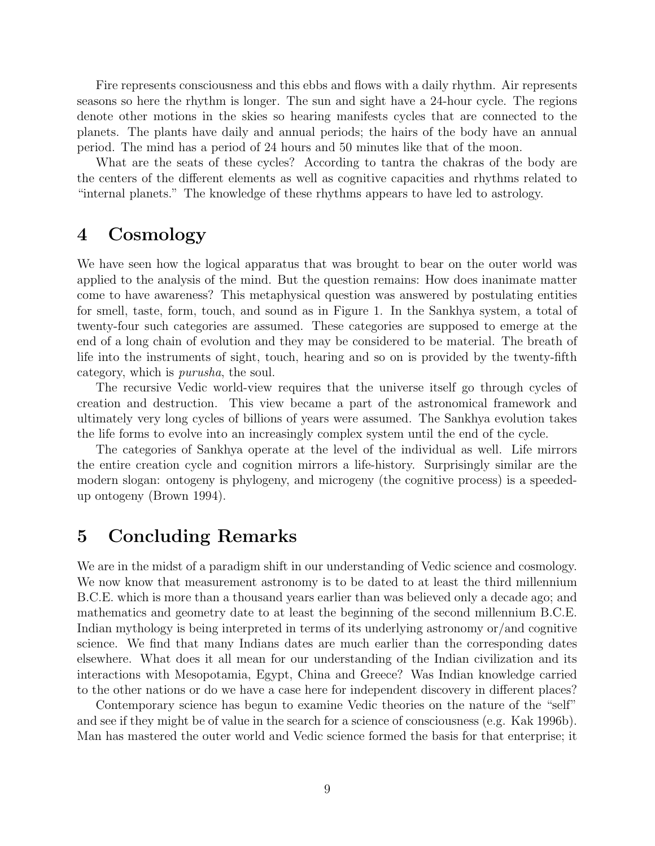Fire represents consciousness and this ebbs and flows with a daily rhythm. Air represents seasons so here the rhythm is longer. The sun and sight have a 24-hour cycle. The regions denote other motions in the skies so hearing manifests cycles that are connected to the planets. The plants have daily and annual periods; the hairs of the body have an annual period. The mind has a period of 24 hours and 50 minutes like that of the moon.

What are the seats of these cycles? According to tantra the chakras of the body are the centers of the different elements as well as cognitive capacities and rhythms related to "internal planets." The knowledge of these rhythms appears to have led to astrology.

## 4 Cosmology

We have seen how the logical apparatus that was brought to bear on the outer world was applied to the analysis of the mind. But the question remains: How does inanimate matter come to have awareness? This metaphysical question was answered by postulating entities for smell, taste, form, touch, and sound as in Figure 1. In the Sankhya system, a total of twenty-four such categories are assumed. These categories are supposed to emerge at the end of a long chain of evolution and they may be considered to be material. The breath of life into the instruments of sight, touch, hearing and so on is provided by the twenty-fifth category, which is purusha, the soul.

The recursive Vedic world-view requires that the universe itself go through cycles of creation and destruction. This view became a part of the astronomical framework and ultimately very long cycles of billions of years were assumed. The Sankhya evolution takes the life forms to evolve into an increasingly complex system until the end of the cycle.

The categories of Sankhya operate at the level of the individual as well. Life mirrors the entire creation cycle and cognition mirrors a life-history. Surprisingly similar are the modern slogan: ontogeny is phylogeny, and microgeny (the cognitive process) is a speededup ontogeny (Brown 1994).

## 5 Concluding Remarks

We are in the midst of a paradigm shift in our understanding of Vedic science and cosmology. We now know that measurement astronomy is to be dated to at least the third millennium B.C.E. which is more than a thousand years earlier than was believed only a decade ago; and mathematics and geometry date to at least the beginning of the second millennium B.C.E. Indian mythology is being interpreted in terms of its underlying astronomy or/and cognitive science. We find that many Indians dates are much earlier than the corresponding dates elsewhere. What does it all mean for our understanding of the Indian civilization and its interactions with Mesopotamia, Egypt, China and Greece? Was Indian knowledge carried to the other nations or do we have a case here for independent discovery in different places?

Contemporary science has begun to examine Vedic theories on the nature of the "self" and see if they might be of value in the search for a science of consciousness (e.g. Kak 1996b). Man has mastered the outer world and Vedic science formed the basis for that enterprise; it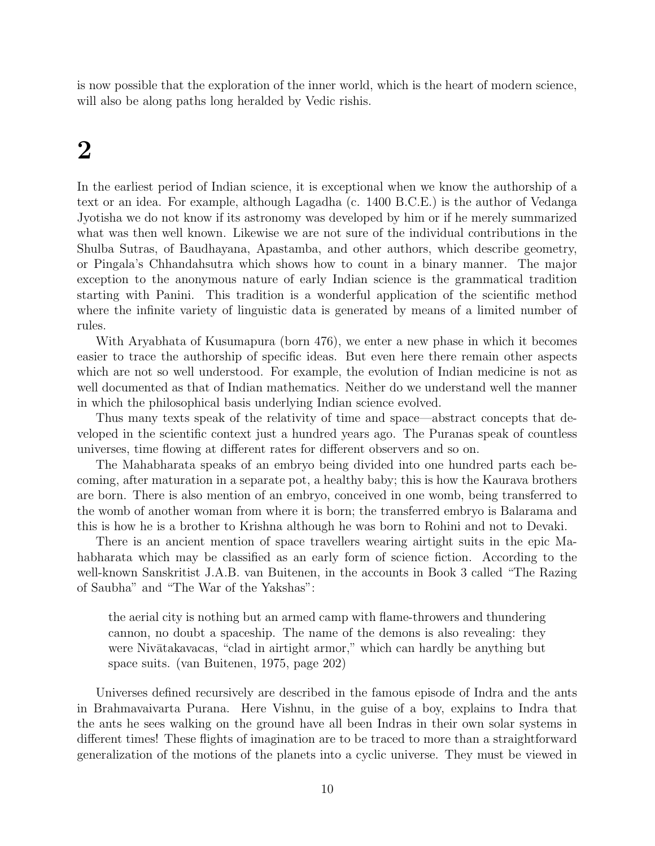is now possible that the exploration of the inner world, which is the heart of modern science, will also be along paths long heralded by Vedic rishis.

# 2

In the earliest period of Indian science, it is exceptional when we know the authorship of a text or an idea. For example, although Lagadha (c. 1400 B.C.E.) is the author of Vedanga Jyotisha we do not know if its astronomy was developed by him or if he merely summarized what was then well known. Likewise we are not sure of the individual contributions in the Shulba Sutras, of Baudhayana, Apastamba, and other authors, which describe geometry, or Pingala's Chhandahsutra which shows how to count in a binary manner. The major exception to the anonymous nature of early Indian science is the grammatical tradition starting with Panini. This tradition is a wonderful application of the scientific method where the infinite variety of linguistic data is generated by means of a limited number of rules.

With Aryabhata of Kusumapura (born 476), we enter a new phase in which it becomes easier to trace the authorship of specific ideas. But even here there remain other aspects which are not so well understood. For example, the evolution of Indian medicine is not as well documented as that of Indian mathematics. Neither do we understand well the manner in which the philosophical basis underlying Indian science evolved.

Thus many texts speak of the relativity of time and space—abstract concepts that developed in the scientific context just a hundred years ago. The Puranas speak of countless universes, time flowing at different rates for different observers and so on.

The Mahabharata speaks of an embryo being divided into one hundred parts each becoming, after maturation in a separate pot, a healthy baby; this is how the Kaurava brothers are born. There is also mention of an embryo, conceived in one womb, being transferred to the womb of another woman from where it is born; the transferred embryo is Balarama and this is how he is a brother to Krishna although he was born to Rohini and not to Devaki.

There is an ancient mention of space travellers wearing airtight suits in the epic Mahabharata which may be classified as an early form of science fiction. According to the well-known Sanskritist J.A.B. van Buitenen, in the accounts in Book 3 called "The Razing of Saubha" and "The War of the Yakshas":

the aerial city is nothing but an armed camp with flame-throwers and thundering cannon, no doubt a spaceship. The name of the demons is also revealing: they were Nivātakavacas, "clad in airtight armor," which can hardly be anything but space suits. (van Buitenen, 1975, page 202)

Universes defined recursively are described in the famous episode of Indra and the ants in Brahmavaivarta Purana. Here Vishnu, in the guise of a boy, explains to Indra that the ants he sees walking on the ground have all been Indras in their own solar systems in different times! These flights of imagination are to be traced to more than a straightforward generalization of the motions of the planets into a cyclic universe. They must be viewed in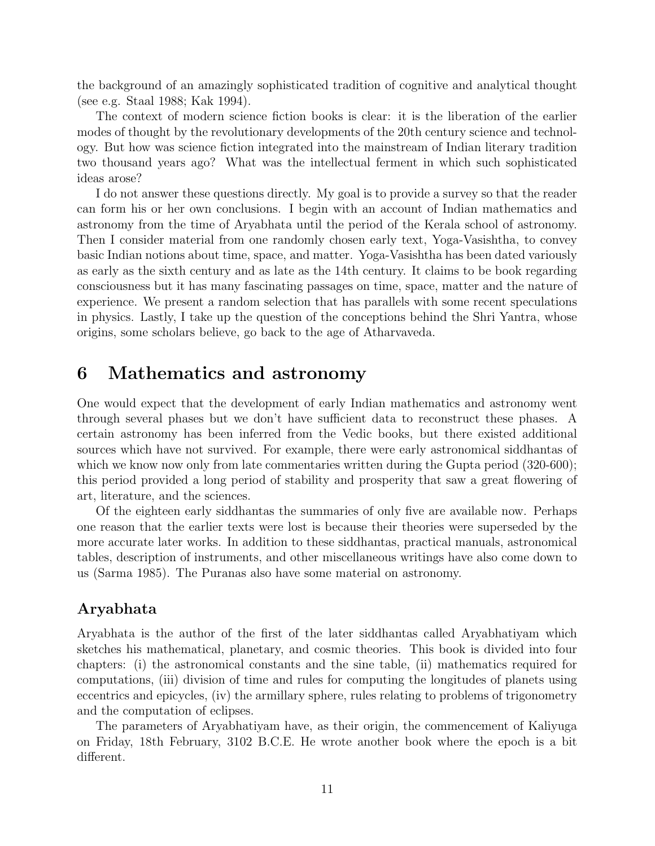the background of an amazingly sophisticated tradition of cognitive and analytical thought (see e.g. Staal 1988; Kak 1994).

The context of modern science fiction books is clear: it is the liberation of the earlier modes of thought by the revolutionary developments of the 20th century science and technology. But how was science fiction integrated into the mainstream of Indian literary tradition two thousand years ago? What was the intellectual ferment in which such sophisticated ideas arose?

I do not answer these questions directly. My goal is to provide a survey so that the reader can form his or her own conclusions. I begin with an account of Indian mathematics and astronomy from the time of Aryabhata until the period of the Kerala school of astronomy. Then I consider material from one randomly chosen early text, Yoga-Vasishtha, to convey basic Indian notions about time, space, and matter. Yoga-Vasishtha has been dated variously as early as the sixth century and as late as the 14th century. It claims to be book regarding consciousness but it has many fascinating passages on time, space, matter and the nature of experience. We present a random selection that has parallels with some recent speculations in physics. Lastly, I take up the question of the conceptions behind the Shri Yantra, whose origins, some scholars believe, go back to the age of Atharvaveda.

## 6 Mathematics and astronomy

One would expect that the development of early Indian mathematics and astronomy went through several phases but we don't have sufficient data to reconstruct these phases. A certain astronomy has been inferred from the Vedic books, but there existed additional sources which have not survived. For example, there were early astronomical siddhantas of which we know now only from late commentaries written during the Gupta period  $(320-600)$ ; this period provided a long period of stability and prosperity that saw a great flowering of art, literature, and the sciences.

Of the eighteen early siddhantas the summaries of only five are available now. Perhaps one reason that the earlier texts were lost is because their theories were superseded by the more accurate later works. In addition to these siddhantas, practical manuals, astronomical tables, description of instruments, and other miscellaneous writings have also come down to us (Sarma 1985). The Puranas also have some material on astronomy.

#### Aryabhata

Aryabhata is the author of the first of the later siddhantas called Aryabhatiyam which sketches his mathematical, planetary, and cosmic theories. This book is divided into four chapters: (i) the astronomical constants and the sine table, (ii) mathematics required for computations, (iii) division of time and rules for computing the longitudes of planets using eccentrics and epicycles, (iv) the armillary sphere, rules relating to problems of trigonometry and the computation of eclipses.

The parameters of Aryabhatiyam have, as their origin, the commencement of Kaliyuga on Friday, 18th February, 3102 B.C.E. He wrote another book where the epoch is a bit different.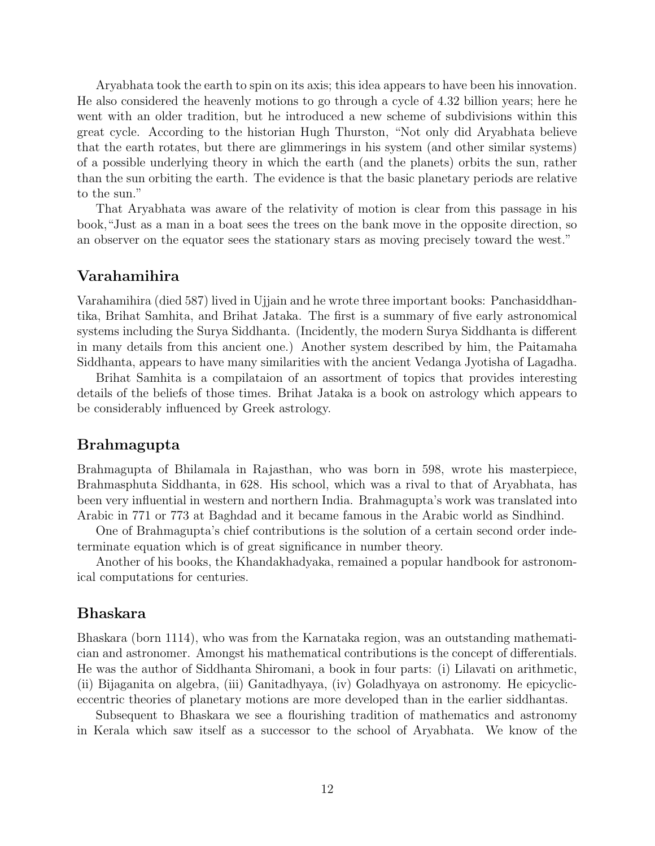Aryabhata took the earth to spin on its axis; this idea appears to have been his innovation. He also considered the heavenly motions to go through a cycle of 4.32 billion years; here he went with an older tradition, but he introduced a new scheme of subdivisions within this great cycle. According to the historian Hugh Thurston, "Not only did Aryabhata believe that the earth rotates, but there are glimmerings in his system (and other similar systems) of a possible underlying theory in which the earth (and the planets) orbits the sun, rather than the sun orbiting the earth. The evidence is that the basic planetary periods are relative to the sun."

That Aryabhata was aware of the relativity of motion is clear from this passage in his book,"Just as a man in a boat sees the trees on the bank move in the opposite direction, so an observer on the equator sees the stationary stars as moving precisely toward the west."

#### Varahamihira

Varahamihira (died 587) lived in Ujjain and he wrote three important books: Panchasiddhantika, Brihat Samhita, and Brihat Jataka. The first is a summary of five early astronomical systems including the Surya Siddhanta. (Incidently, the modern Surya Siddhanta is different in many details from this ancient one.) Another system described by him, the Paitamaha Siddhanta, appears to have many similarities with the ancient Vedanga Jyotisha of Lagadha.

Brihat Samhita is a compilataion of an assortment of topics that provides interesting details of the beliefs of those times. Brihat Jataka is a book on astrology which appears to be considerably influenced by Greek astrology.

#### Brahmagupta

Brahmagupta of Bhilamala in Rajasthan, who was born in 598, wrote his masterpiece, Brahmasphuta Siddhanta, in 628. His school, which was a rival to that of Aryabhata, has been very influential in western and northern India. Brahmagupta's work was translated into Arabic in 771 or 773 at Baghdad and it became famous in the Arabic world as Sindhind.

One of Brahmagupta's chief contributions is the solution of a certain second order indeterminate equation which is of great significance in number theory.

Another of his books, the Khandakhadyaka, remained a popular handbook for astronomical computations for centuries.

#### Bhaskara

Bhaskara (born 1114), who was from the Karnataka region, was an outstanding mathematician and astronomer. Amongst his mathematical contributions is the concept of differentials. He was the author of Siddhanta Shiromani, a book in four parts: (i) Lilavati on arithmetic, (ii) Bijaganita on algebra, (iii) Ganitadhyaya, (iv) Goladhyaya on astronomy. He epicycliceccentric theories of planetary motions are more developed than in the earlier siddhantas.

Subsequent to Bhaskara we see a flourishing tradition of mathematics and astronomy in Kerala which saw itself as a successor to the school of Aryabhata. We know of the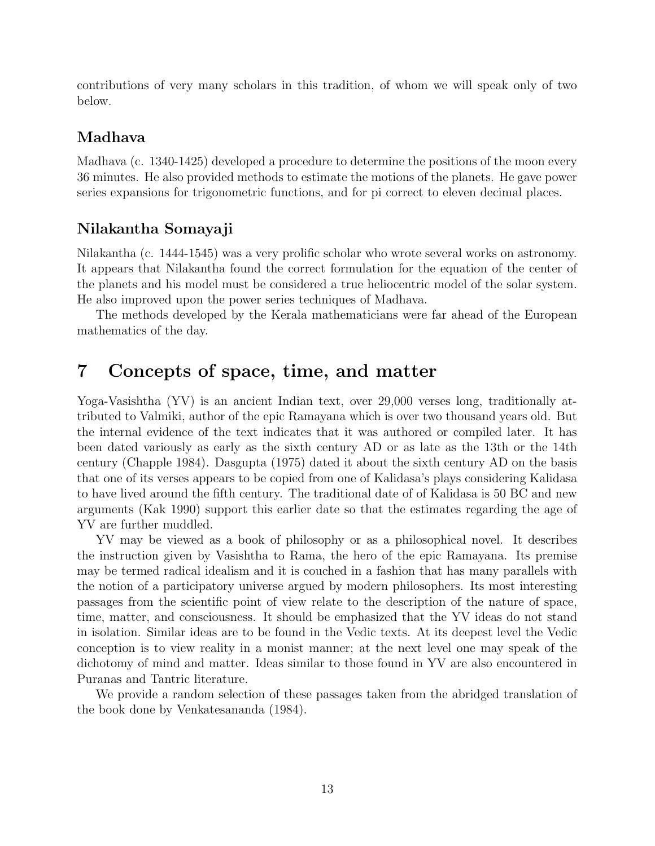contributions of very many scholars in this tradition, of whom we will speak only of two below.

#### Madhava

Madhava (c. 1340-1425) developed a procedure to determine the positions of the moon every 36 minutes. He also provided methods to estimate the motions of the planets. He gave power series expansions for trigonometric functions, and for pi correct to eleven decimal places.

#### Nilakantha Somayaji

Nilakantha (c. 1444-1545) was a very prolific scholar who wrote several works on astronomy. It appears that Nilakantha found the correct formulation for the equation of the center of the planets and his model must be considered a true heliocentric model of the solar system. He also improved upon the power series techniques of Madhava.

The methods developed by the Kerala mathematicians were far ahead of the European mathematics of the day.

# 7 Concepts of space, time, and matter

Yoga-Vasishtha (YV) is an ancient Indian text, over 29,000 verses long, traditionally attributed to Valmiki, author of the epic Ramayana which is over two thousand years old. But the internal evidence of the text indicates that it was authored or compiled later. It has been dated variously as early as the sixth century AD or as late as the 13th or the 14th century (Chapple 1984). Dasgupta (1975) dated it about the sixth century AD on the basis that one of its verses appears to be copied from one of Kalidasa's plays considering Kalidasa to have lived around the fifth century. The traditional date of of Kalidasa is 50 BC and new arguments (Kak 1990) support this earlier date so that the estimates regarding the age of YV are further muddled.

YV may be viewed as a book of philosophy or as a philosophical novel. It describes the instruction given by Vasishtha to Rama, the hero of the epic Ramayana. Its premise may be termed radical idealism and it is couched in a fashion that has many parallels with the notion of a participatory universe argued by modern philosophers. Its most interesting passages from the scientific point of view relate to the description of the nature of space, time, matter, and consciousness. It should be emphasized that the YV ideas do not stand in isolation. Similar ideas are to be found in the Vedic texts. At its deepest level the Vedic conception is to view reality in a monist manner; at the next level one may speak of the dichotomy of mind and matter. Ideas similar to those found in YV are also encountered in Puranas and Tantric literature.

We provide a random selection of these passages taken from the abridged translation of the book done by Venkatesananda (1984).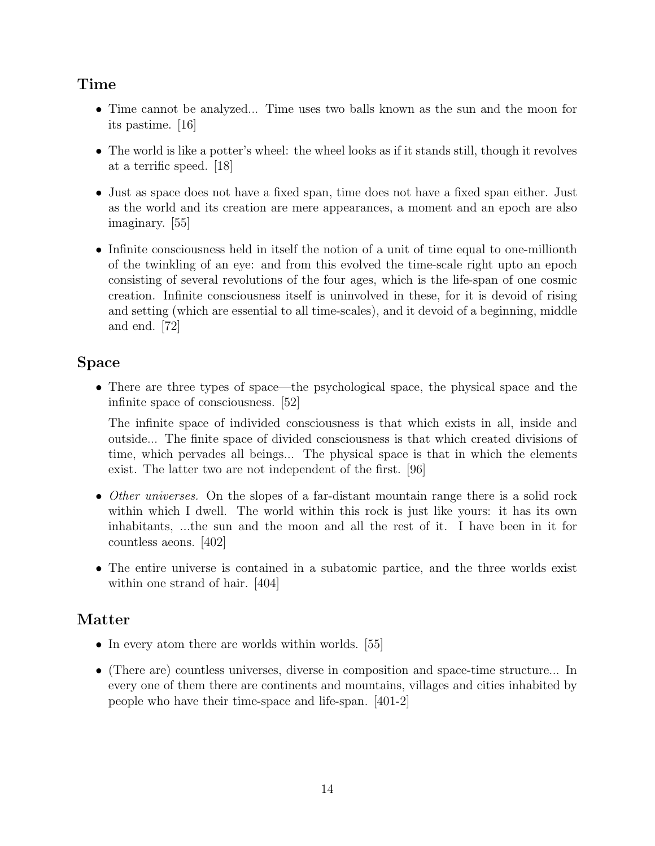## Time

- Time cannot be analyzed... Time uses two balls known as the sun and the moon for its pastime. [16]
- The world is like a potter's wheel: the wheel looks as if it stands still, though it revolves at a terrific speed. [18]
- Just as space does not have a fixed span, time does not have a fixed span either. Just as the world and its creation are mere appearances, a moment and an epoch are also imaginary. [55]
- Infinite consciousness held in itself the notion of a unit of time equal to one-millionth of the twinkling of an eye: and from this evolved the time-scale right upto an epoch consisting of several revolutions of the four ages, which is the life-span of one cosmic creation. Infinite consciousness itself is uninvolved in these, for it is devoid of rising and setting (which are essential to all time-scales), and it devoid of a beginning, middle and end. [72]

# Space

• There are three types of space—the psychological space, the physical space and the infinite space of consciousness. [52]

The infinite space of individed consciousness is that which exists in all, inside and outside... The finite space of divided consciousness is that which created divisions of time, which pervades all beings... The physical space is that in which the elements exist. The latter two are not independent of the first. [96]

- *Other universes*. On the slopes of a far-distant mountain range there is a solid rock within which I dwell. The world within this rock is just like yours: it has its own inhabitants, ...the sun and the moon and all the rest of it. I have been in it for countless aeons. [402]
- The entire universe is contained in a subatomic partice, and the three worlds exist within one strand of hair. [404]

# Matter

- In every atom there are worlds within worlds. [55]
- (There are) countless universes, diverse in composition and space-time structure... In every one of them there are continents and mountains, villages and cities inhabited by people who have their time-space and life-span. [401-2]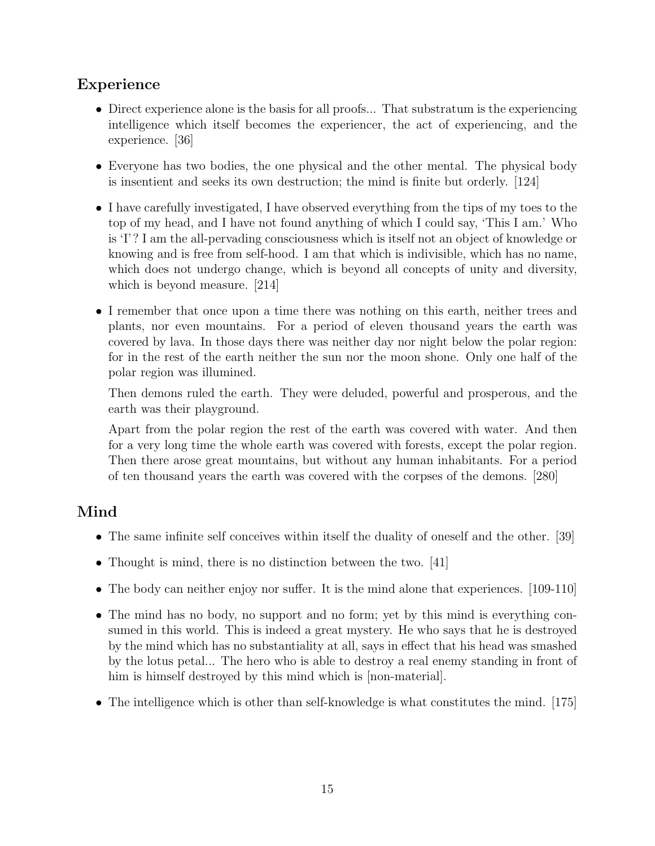## Experience

- Direct experience alone is the basis for all proofs... That substratum is the experiencing intelligence which itself becomes the experiencer, the act of experiencing, and the experience. [36]
- Everyone has two bodies, the one physical and the other mental. The physical body is insentient and seeks its own destruction; the mind is finite but orderly. [124]
- I have carefully investigated, I have observed everything from the tips of my toes to the top of my head, and I have not found anything of which I could say, 'This I am.' Who is 'I'? I am the all-pervading consciousness which is itself not an object of knowledge or knowing and is free from self-hood. I am that which is indivisible, which has no name, which does not undergo change, which is beyond all concepts of unity and diversity, which is beyond measure. [214]
- I remember that once upon a time there was nothing on this earth, neither trees and plants, nor even mountains. For a period of eleven thousand years the earth was covered by lava. In those days there was neither day nor night below the polar region: for in the rest of the earth neither the sun nor the moon shone. Only one half of the polar region was illumined.

Then demons ruled the earth. They were deluded, powerful and prosperous, and the earth was their playground.

Apart from the polar region the rest of the earth was covered with water. And then for a very long time the whole earth was covered with forests, except the polar region. Then there arose great mountains, but without any human inhabitants. For a period of ten thousand years the earth was covered with the corpses of the demons. [280]

## Mind

- The same infinite self conceives within itself the duality of oneself and the other. [39]
- Thought is mind, there is no distinction between the two. [41]
- The body can neither enjoy nor suffer. It is the mind alone that experiences. [109-110]
- The mind has no body, no support and no form; yet by this mind is everything consumed in this world. This is indeed a great mystery. He who says that he is destroyed by the mind which has no substantiality at all, says in effect that his head was smashed by the lotus petal... The hero who is able to destroy a real enemy standing in front of him is himself destroyed by this mind which is [non-material].
- The intelligence which is other than self-knowledge is what constitutes the mind. [175]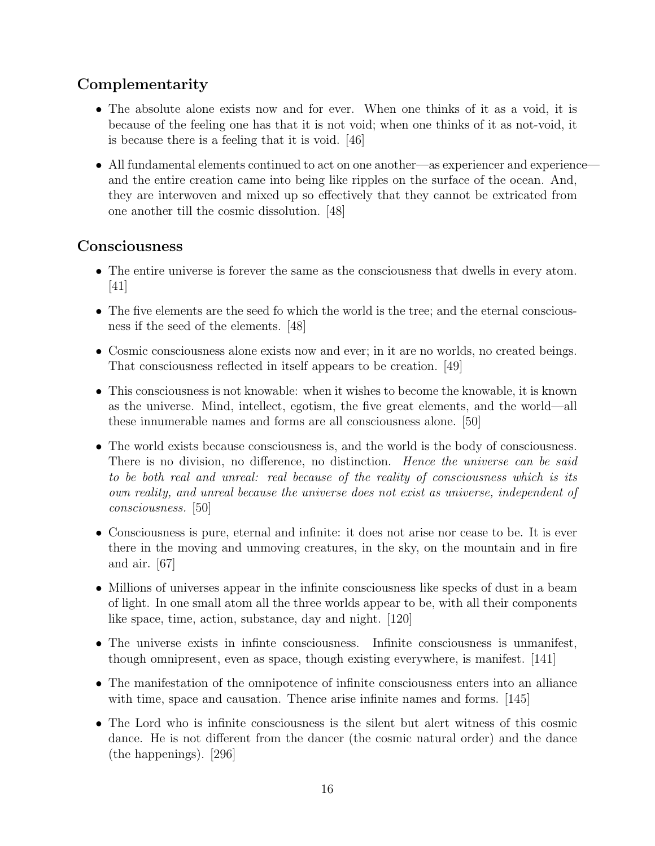# Complementarity

- The absolute alone exists now and for ever. When one thinks of it as a void, it is because of the feeling one has that it is not void; when one thinks of it as not-void, it is because there is a feeling that it is void. [46]
- All fundamental elements continued to act on one another—as experiencer and experience and the entire creation came into being like ripples on the surface of the ocean. And, they are interwoven and mixed up so effectively that they cannot be extricated from one another till the cosmic dissolution. [48]

## Consciousness

- The entire universe is forever the same as the consciousness that dwells in every atom. [41]
- The five elements are the seed fo which the world is the tree; and the eternal consciousness if the seed of the elements. [48]
- Cosmic consciousness alone exists now and ever; in it are no worlds, no created beings. That consciousness reflected in itself appears to be creation. [49]
- This consciousness is not knowable: when it wishes to become the knowable, it is known as the universe. Mind, intellect, egotism, the five great elements, and the world—all these innumerable names and forms are all consciousness alone. [50]
- The world exists because consciousness is, and the world is the body of consciousness. There is no division, no difference, no distinction. Hence the universe can be said to be both real and unreal: real because of the reality of consciousness which is its own reality, and unreal because the universe does not exist as universe, independent of consciousness. [50]
- Consciousness is pure, eternal and infinite: it does not arise nor cease to be. It is ever there in the moving and unmoving creatures, in the sky, on the mountain and in fire and air. [67]
- Millions of universes appear in the infinite consciousness like specks of dust in a beam of light. In one small atom all the three worlds appear to be, with all their components like space, time, action, substance, day and night. [120]
- The universe exists in infinte consciousness. Infinite consciousness is unmanifest, though omnipresent, even as space, though existing everywhere, is manifest. [141]
- The manifestation of the omnipotence of infinite consciousness enters into an alliance with time, space and causation. Thence arise infinite names and forms. [145]
- The Lord who is infinite consciousness is the silent but alert witness of this cosmic dance. He is not different from the dancer (the cosmic natural order) and the dance (the happenings). [296]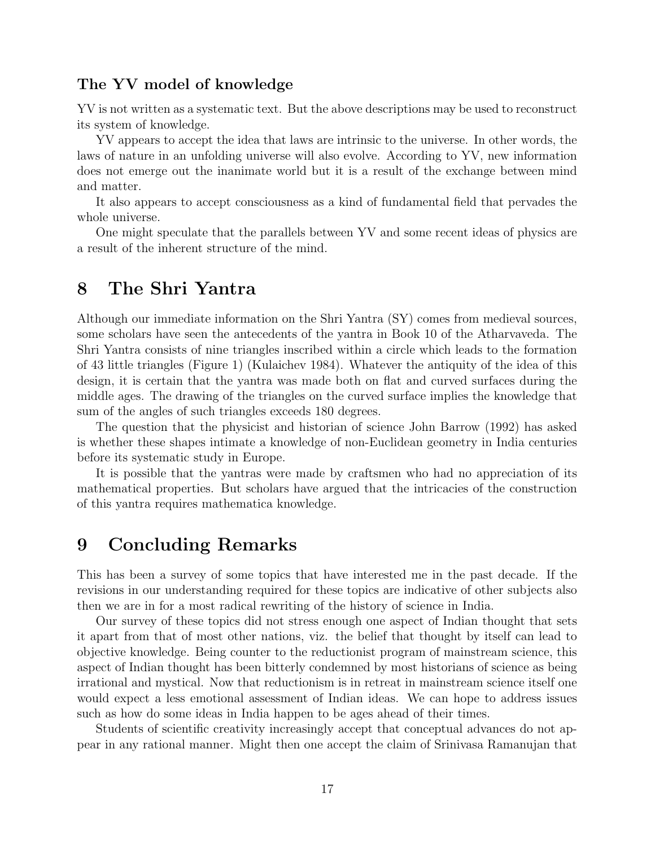#### The YV model of knowledge

YV is not written as a systematic text. But the above descriptions may be used to reconstruct its system of knowledge.

YV appears to accept the idea that laws are intrinsic to the universe. In other words, the laws of nature in an unfolding universe will also evolve. According to YV, new information does not emerge out the inanimate world but it is a result of the exchange between mind and matter.

It also appears to accept consciousness as a kind of fundamental field that pervades the whole universe.

One might speculate that the parallels between YV and some recent ideas of physics are a result of the inherent structure of the mind.

## 8 The Shri Yantra

Although our immediate information on the Shri Yantra (SY) comes from medieval sources, some scholars have seen the antecedents of the yantra in Book 10 of the Atharvaveda. The Shri Yantra consists of nine triangles inscribed within a circle which leads to the formation of 43 little triangles (Figure 1) (Kulaichev 1984). Whatever the antiquity of the idea of this design, it is certain that the yantra was made both on flat and curved surfaces during the middle ages. The drawing of the triangles on the curved surface implies the knowledge that sum of the angles of such triangles exceeds 180 degrees.

The question that the physicist and historian of science John Barrow (1992) has asked is whether these shapes intimate a knowledge of non-Euclidean geometry in India centuries before its systematic study in Europe.

It is possible that the yantras were made by craftsmen who had no appreciation of its mathematical properties. But scholars have argued that the intricacies of the construction of this yantra requires mathematica knowledge.

## 9 Concluding Remarks

This has been a survey of some topics that have interested me in the past decade. If the revisions in our understanding required for these topics are indicative of other subjects also then we are in for a most radical rewriting of the history of science in India.

Our survey of these topics did not stress enough one aspect of Indian thought that sets it apart from that of most other nations, viz. the belief that thought by itself can lead to objective knowledge. Being counter to the reductionist program of mainstream science, this aspect of Indian thought has been bitterly condemned by most historians of science as being irrational and mystical. Now that reductionism is in retreat in mainstream science itself one would expect a less emotional assessment of Indian ideas. We can hope to address issues such as how do some ideas in India happen to be ages ahead of their times.

Students of scientific creativity increasingly accept that conceptual advances do not appear in any rational manner. Might then one accept the claim of Srinivasa Ramanujan that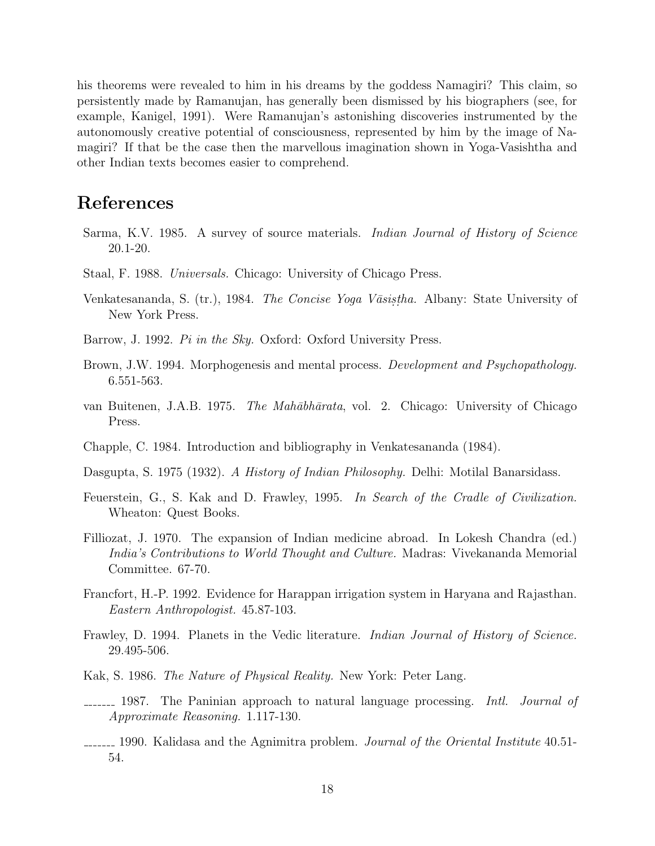his theorems were revealed to him in his dreams by the goddess Namagiri? This claim, so persistently made by Ramanujan, has generally been dismissed by his biographers (see, for example, Kanigel, 1991). Were Ramanujan's astonishing discoveries instrumented by the autonomously creative potential of consciousness, represented by him by the image of Namagiri? If that be the case then the marvellous imagination shown in Yoga-Vasishtha and other Indian texts becomes easier to comprehend.

## References

- Sarma, K.V. 1985. A survey of source materials. Indian Journal of History of Science 20.1-20.
- Staal, F. 1988. Universals. Chicago: University of Chicago Press.
- Venkatesananda, S. (tr.), 1984. *The Concise Yoga Vāsistha*. Albany: State University of New York Press.
- Barrow, J. 1992. Pi in the Sky. Oxford: Oxford University Press.
- Brown, J.W. 1994. Morphogenesis and mental process. Development and Psychopathology. 6.551-563.
- van Buitenen, J.A.B. 1975. *The Mahābhārata*, vol. 2. Chicago: University of Chicago Press.
- Chapple, C. 1984. Introduction and bibliography in Venkatesananda (1984).
- Dasgupta, S. 1975 (1932). A History of Indian Philosophy. Delhi: Motilal Banarsidass.
- Feuerstein, G., S. Kak and D. Frawley, 1995. In Search of the Cradle of Civilization. Wheaton: Quest Books.
- Filliozat, J. 1970. The expansion of Indian medicine abroad. In Lokesh Chandra (ed.) India's Contributions to World Thought and Culture. Madras: Vivekananda Memorial Committee. 67-70.
- Francfort, H.-P. 1992. Evidence for Harappan irrigation system in Haryana and Rajasthan. Eastern Anthropologist. 45.87-103.
- Frawley, D. 1994. Planets in the Vedic literature. *Indian Journal of History of Science*. 29.495-506.
- Kak, S. 1986. The Nature of Physical Reality. New York: Peter Lang.
- 1987. The Paninian approach to natural language processing. *Intl. Journal of* Approximate Reasoning. 1.117-130.
- 1990. Kalidasa and the Agnimitra problem. Journal of the Oriental Institute 40.51 54.